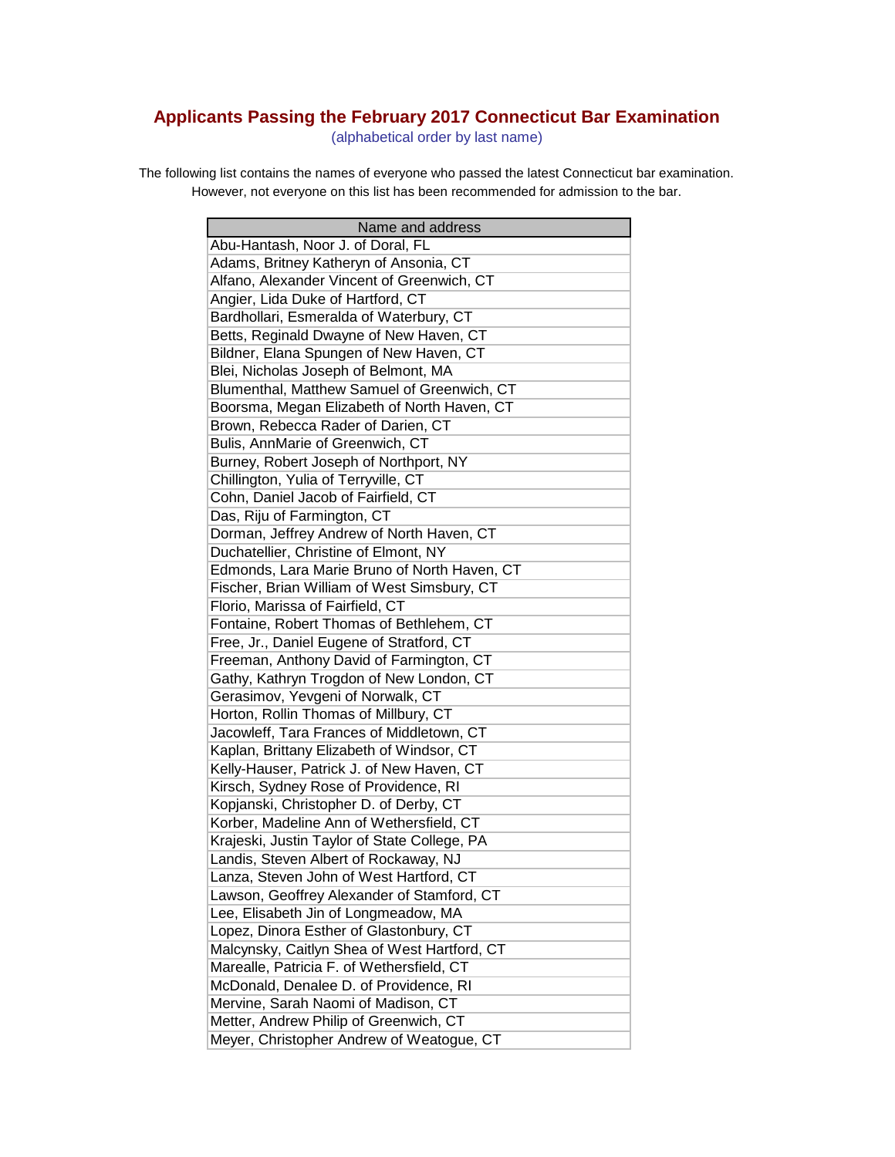## **Applicants Passing the February 2017 Connecticut Bar Examination**

(alphabetical order by last name)

The following list contains the names of everyone who passed the latest Connecticut bar examination. However, not everyone on this list has been recommended for admission to the bar.

| Name and address                             |
|----------------------------------------------|
| Abu-Hantash, Noor J. of Doral, FL            |
| Adams, Britney Katheryn of Ansonia, CT       |
| Alfano, Alexander Vincent of Greenwich, CT   |
| Angier, Lida Duke of Hartford, CT            |
| Bardhollari, Esmeralda of Waterbury, CT      |
| Betts, Reginald Dwayne of New Haven, CT      |
| Bildner, Elana Spungen of New Haven, CT      |
| Blei, Nicholas Joseph of Belmont, MA         |
| Blumenthal, Matthew Samuel of Greenwich, CT  |
| Boorsma, Megan Elizabeth of North Haven, CT  |
| Brown, Rebecca Rader of Darien, CT           |
| Bulis, AnnMarie of Greenwich, CT             |
| Burney, Robert Joseph of Northport, NY       |
| Chillington, Yulia of Terryville, CT         |
| Cohn, Daniel Jacob of Fairfield, CT          |
| Das, Riju of Farmington, CT                  |
| Dorman, Jeffrey Andrew of North Haven, CT    |
| Duchatellier, Christine of Elmont, NY        |
| Edmonds, Lara Marie Bruno of North Haven, CT |
| Fischer, Brian William of West Simsbury, CT  |
| Florio, Marissa of Fairfield, CT             |
| Fontaine, Robert Thomas of Bethlehem, CT     |
| Free, Jr., Daniel Eugene of Stratford, CT    |
| Freeman, Anthony David of Farmington, CT     |
| Gathy, Kathryn Trogdon of New London, CT     |
| Gerasimov, Yevgeni of Norwalk, CT            |
| Horton, Rollin Thomas of Millbury, CT        |
| Jacowleff, Tara Frances of Middletown, CT    |
| Kaplan, Brittany Elizabeth of Windsor, CT    |
| Kelly-Hauser, Patrick J. of New Haven, CT    |
| Kirsch, Sydney Rose of Providence, RI        |
| Kopjanski, Christopher D. of Derby, CT       |
| Korber, Madeline Ann of Wethersfield, CT     |
| Krajeski, Justin Taylor of State College, PA |
| Landis, Steven Albert of Rockaway, NJ        |
| Lanza, Steven John of West Hartford, CT      |
| Lawson, Geoffrey Alexander of Stamford, CT   |
| Lee, Elisabeth Jin of Longmeadow, MA         |
| Lopez, Dinora Esther of Glastonbury, CT      |
| Malcynsky, Caitlyn Shea of West Hartford, CT |
| Marealle, Patricia F. of Wethersfield, CT    |
| McDonald, Denalee D. of Providence, RI       |
| Mervine, Sarah Naomi of Madison, CT          |
| Metter, Andrew Philip of Greenwich, CT       |
| Meyer, Christopher Andrew of Weatogue, CT    |